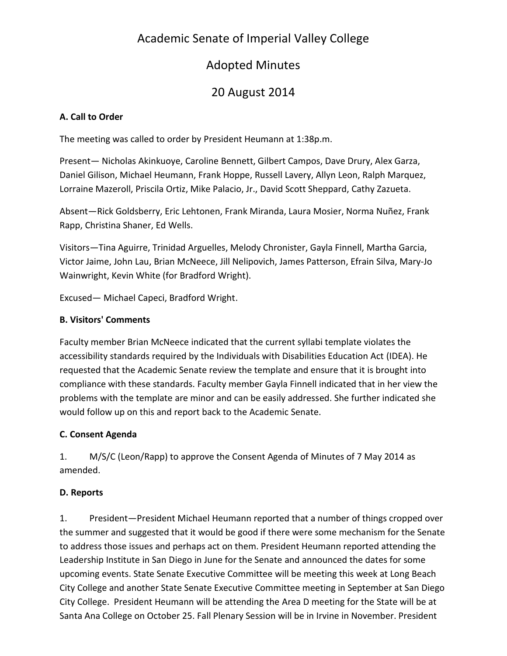# Academic Senate of Imperial Valley College

# Adopted Minutes

# 20 August 2014

### **A. Call to Order**

The meeting was called to order by President Heumann at 1:38p.m.

Present— Nicholas Akinkuoye, Caroline Bennett, Gilbert Campos, Dave Drury, Alex Garza, Daniel Gilison, Michael Heumann, Frank Hoppe, Russell Lavery, Allyn Leon, Ralph Marquez, Lorraine Mazeroll, Priscila Ortiz, Mike Palacio, Jr., David Scott Sheppard, Cathy Zazueta.

Absent—Rick Goldsberry, Eric Lehtonen, Frank Miranda, Laura Mosier, Norma Nuñez, Frank Rapp, Christina Shaner, Ed Wells.

Visitors—Tina Aguirre, Trinidad Arguelles, Melody Chronister, Gayla Finnell, Martha Garcia, Victor Jaime, John Lau, Brian McNeece, Jill Nelipovich, James Patterson, Efrain Silva, Mary-Jo Wainwright, Kevin White (for Bradford Wright).

Excused— Michael Capeci, Bradford Wright.

### **B. Visitors' Comments**

Faculty member Brian McNeece indicated that the current syllabi template violates the accessibility standards required by the Individuals with Disabilities Education Act (IDEA). He requested that the Academic Senate review the template and ensure that it is brought into compliance with these standards. Faculty member Gayla Finnell indicated that in her view the problems with the template are minor and can be easily addressed. She further indicated she would follow up on this and report back to the Academic Senate.

## **C. Consent Agenda**

1. M/S/C (Leon/Rapp) to approve the Consent Agenda of Minutes of 7 May 2014 as amended.

### **D. Reports**

1. President—President Michael Heumann reported that a number of things cropped over the summer and suggested that it would be good if there were some mechanism for the Senate to address those issues and perhaps act on them. President Heumann reported attending the Leadership Institute in San Diego in June for the Senate and announced the dates for some upcoming events. State Senate Executive Committee will be meeting this week at Long Beach City College and another State Senate Executive Committee meeting in September at San Diego City College. President Heumann will be attending the Area D meeting for the State will be at Santa Ana College on October 25. Fall Plenary Session will be in Irvine in November. President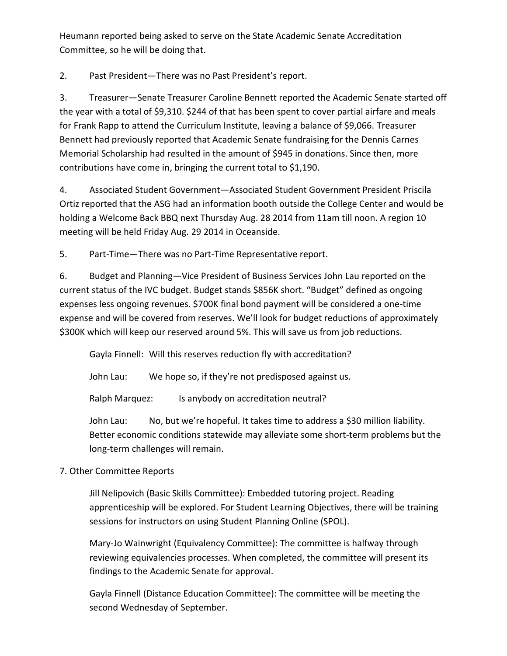Heumann reported being asked to serve on the State Academic Senate Accreditation Committee, so he will be doing that.

2. Past President—There was no Past President's report.

3. Treasurer—Senate Treasurer Caroline Bennett reported the Academic Senate started off the year with a total of \$9,310. \$244 of that has been spent to cover partial airfare and meals for Frank Rapp to attend the Curriculum Institute, leaving a balance of \$9,066. Treasurer Bennett had previously reported that Academic Senate fundraising for the Dennis Carnes Memorial Scholarship had resulted in the amount of \$945 in donations. Since then, more contributions have come in, bringing the current total to \$1,190.

4. Associated Student Government—Associated Student Government President Priscila Ortiz reported that the ASG had an information booth outside the College Center and would be holding a Welcome Back BBQ next Thursday Aug. 28 2014 from 11am till noon. A region 10 meeting will be held Friday Aug. 29 2014 in Oceanside.

5. Part-Time—There was no Part-Time Representative report.

6. Budget and Planning—Vice President of Business Services John Lau reported on the current status of the IVC budget. Budget stands \$856K short. "Budget" defined as ongoing expenses less ongoing revenues. \$700K final bond payment will be considered a one-time expense and will be covered from reserves. We'll look for budget reductions of approximately \$300K which will keep our reserved around 5%. This will save us from job reductions.

Gayla Finnell: Will this reserves reduction fly with accreditation?

John Lau: We hope so, if they're not predisposed against us.

Ralph Marquez: Is anybody on accreditation neutral?

John Lau: No, but we're hopeful. It takes time to address a \$30 million liability. Better economic conditions statewide may alleviate some short-term problems but the long-term challenges will remain.

## 7. Other Committee Reports

Jill Nelipovich (Basic Skills Committee): Embedded tutoring project. Reading apprenticeship will be explored. For Student Learning Objectives, there will be training sessions for instructors on using Student Planning Online (SPOL).

Mary-Jo Wainwright (Equivalency Committee): The committee is halfway through reviewing equivalencies processes. When completed, the committee will present its findings to the Academic Senate for approval.

Gayla Finnell (Distance Education Committee): The committee will be meeting the second Wednesday of September.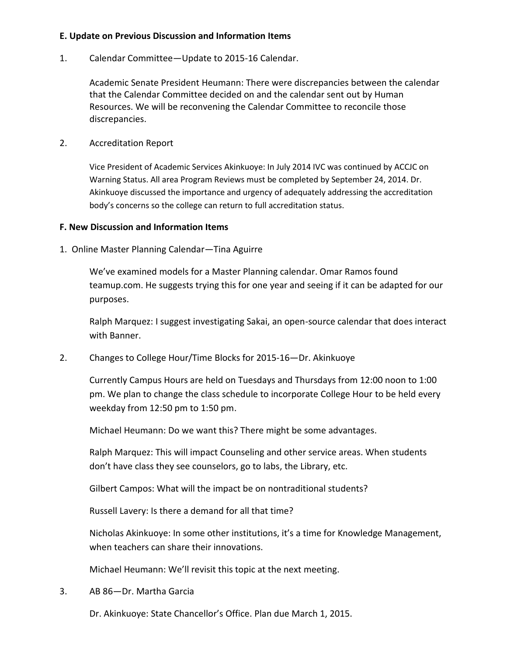### **E. Update on Previous Discussion and Information Items**

1. Calendar Committee—Update to 2015-16 Calendar.

Academic Senate President Heumann: There were discrepancies between the calendar that the Calendar Committee decided on and the calendar sent out by Human Resources. We will be reconvening the Calendar Committee to reconcile those discrepancies.

2. Accreditation Report

Vice President of Academic Services Akinkuoye: In July 2014 IVC was continued by ACCJC on Warning Status. All area Program Reviews must be completed by September 24, 2014. Dr. Akinkuoye discussed the importance and urgency of adequately addressing the accreditation body's concerns so the college can return to full accreditation status.

#### **F. New Discussion and Information Items**

1. Online Master Planning Calendar—Tina Aguirre

We've examined models for a Master Planning calendar. Omar Ramos found teamup.com. He suggests trying this for one year and seeing if it can be adapted for our purposes.

Ralph Marquez: I suggest investigating Sakai, an open-source calendar that does interact with Banner.

2. Changes to College Hour/Time Blocks for 2015-16—Dr. Akinkuoye

Currently Campus Hours are held on Tuesdays and Thursdays from 12:00 noon to 1:00 pm. We plan to change the class schedule to incorporate College Hour to be held every weekday from 12:50 pm to 1:50 pm.

Michael Heumann: Do we want this? There might be some advantages.

Ralph Marquez: This will impact Counseling and other service areas. When students don't have class they see counselors, go to labs, the Library, etc.

Gilbert Campos: What will the impact be on nontraditional students?

Russell Lavery: Is there a demand for all that time?

Nicholas Akinkuoye: In some other institutions, it's a time for Knowledge Management, when teachers can share their innovations.

Michael Heumann: We'll revisit this topic at the next meeting.

3. AB 86—Dr. Martha Garcia

Dr. Akinkuoye: State Chancellor's Office. Plan due March 1, 2015.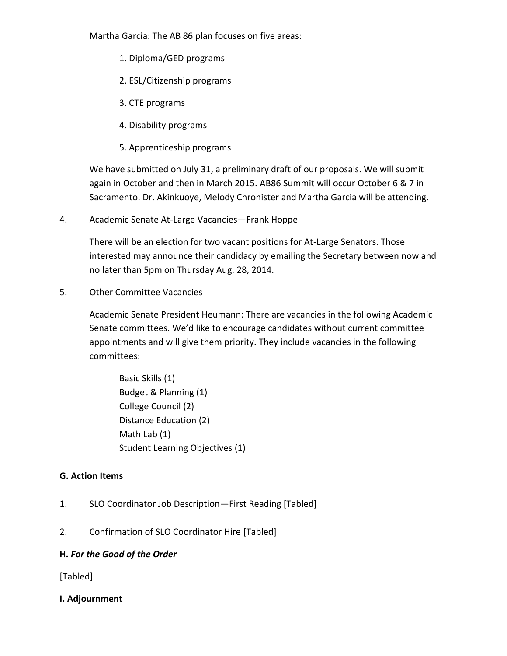Martha Garcia: The AB 86 plan focuses on five areas:

- 1. Diploma/GED programs
- 2. ESL/Citizenship programs
- 3. CTE programs
- 4. Disability programs
- 5. Apprenticeship programs

We have submitted on July 31, a preliminary draft of our proposals. We will submit again in October and then in March 2015. AB86 Summit will occur October 6 & 7 in Sacramento. Dr. Akinkuoye, Melody Chronister and Martha Garcia will be attending.

4. Academic Senate At-Large Vacancies—Frank Hoppe

There will be an election for two vacant positions for At-Large Senators. Those interested may announce their candidacy by emailing the Secretary between now and no later than 5pm on Thursday Aug. 28, 2014.

5. Other Committee Vacancies

Academic Senate President Heumann: There are vacancies in the following Academic Senate committees. We'd like to encourage candidates without current committee appointments and will give them priority. They include vacancies in the following committees:

Basic Skills (1) Budget & Planning (1) College Council (2) Distance Education (2) Math Lab (1) Student Learning Objectives (1)

### **G. Action Items**

- 1. SLO Coordinator Job Description—First Reading [Tabled]
- 2. Confirmation of SLO Coordinator Hire [Tabled]

### **H.** *For the Good of the Order*

[Tabled]

### **I. Adjournment**